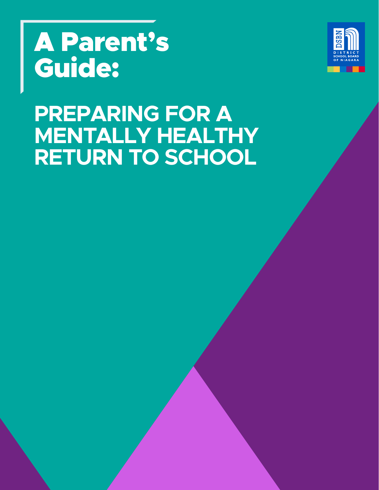# A Parent's Guide:



## **PREPARING FOR A MENTALLY HEALTHY RETURN TO SCHOOL**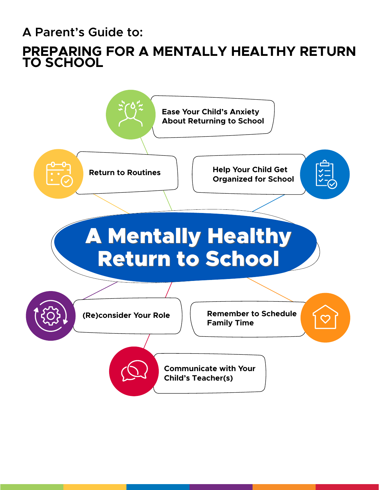**A Parent's Guide to:**

## **PREPARING FOR A MENTALLY HEALTHY RETURN TO SCHOOL**

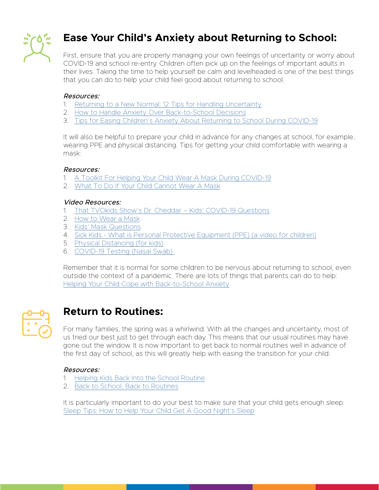

## **Ease Your Child's Anxiety about Returning to School:**

First, ensure that you are properly managing your own feelings of uncertainty or worry about COVID-19 and school re-entry. Children often pick up on the feelings of important adults in their lives. Taking the time to help yourself be calm and levelheaded is one of the best things that you can do to help your child feel good about returning to school.

#### Resources:

- 1. [Returning to a New Normal: 12 Tips for Handling Uncertainty](http://www.anxietycanada.com/articles/returning-to-a-new-normal-12-tips-for-handling-uncertainty/)
- 2. [How to Handle Anxiety Over Back-to-School Decisions](https://www.nytimes.com/2020/07/29/parenting/schools-reopening-parents-decision-kids.html)
- 3. [Tips for Easing Children's Anxiety About Returning to School During COVID-19](https://www.gse.harvard.edu/news/uk/20/07/making-smooth-transition)

It will also be helpful to prepare your child in advance for any changes at school, for example, wearing PPE and physical distancing. Tips for getting your child comfortable with wearing a mask:

#### Resources:

- 1. [A Toolkit For Helping Your Child Wear A Mask During COVID-19](https://www.urmc.rochester.edu/MediaLibraries/URMCMedia/strong-center-developmental-disabilities/documents/Mask-Wearing-Toolkit.pdf)
- 2. [What To Do If Your Child Cannot Wear A Mask](https://hollandbloorview.ca/services/family-workshops-resources/family-resource-centre/online-family-resources-centre/masking-tips)

#### Video Resources:

- 1. [That TVOkids Show's Dr. Cheddar Kids' COVID-19 Questions](http://www.youtube.com/watch?v=fBkA2ZTUnyI)
- 2. [How to Wear a Mask](http://www.youtube.com/watch?v=odYscrFsfOA)
- 3. [Kids' Mask Questions](http://www.youtube.com/watch?v=2Bt2nem5jFg)
- 4. Sick Kids What is Personal Protective Equipment (PPE) (a video for children)
- 5. Physical Distancing (for kids)
- 6. [COVID-19 Testing \(Nasal Swab\)](https://www.youtube.com/watch?v=nO1L-oYo9TA&feature=youtu.be)

Remember that it is normal for some children to be nervous about returning to school, even outside the context of a pandemic. There are lots of things that parents can do to help: [Helping Your Child Cope with Back-to-School Anxiety](http://www.anxietycanada.com/articles/helping-your-child-cope-with-back-to-school-anxiety/)



### **Return to Routines:**

For many families, the spring was a whirlwind. With all the changes and uncertainty, most of us tried our best just to get through each day. This means that our usual routines may have gone out the window. It is now important to get back to normal routines well in advance of the first day of school, as this will greatly help with easing the transition for your child:

#### Resources:

- 1. [Helping Kids Back Into the School Routine](http://childmind.org/article/helping-kids-back-school-routine/)
- 2. [Back to School, Back to Routines](http://psychcentral.com/lib/back-to-school-back-to-routines/)

It is particularly important to do your best to make sure that your child gets enough sleep: [Sleep Tips: How to Help Your Child Get A Good Night's Sleep](http://www.aboutkidshealth.ca/Article?contentid=646&language=English&hub=COVID-19)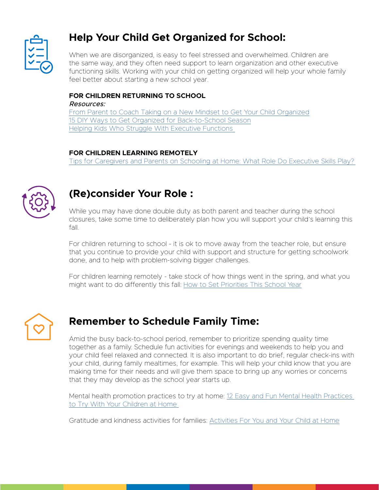

## **Help Your Child Get Organized for School:**

When we are disorganized, is easy to feel stressed and overwhelmed. Children are the same way, and they often need support to learn organization and other executive functioning skills. Working with your child on getting organized will help your whole family feel better about starting a new school year.

#### **FOR CHILDREN RETURNING TO SCHOOL**

Resources:

[From Parent to Coach Taking on a New Mindset to Get Your Child Organized](http://www.guilford.com/add/gallagher2_chapter2.pdf) [15 DIY Ways to Get Organized for Back-to-School Season](http://www.thespruce.com/ways-to-get-organized-for-back-to-school-4147370) [Helping Kids Who Struggle With Executive Functions](http://childmind.org/article/helping-kids-who-struggle-with-executive-functions/) 

#### **FOR CHILDREN LEARNING REMOTELY**

[Tips for Caregivers and Parents on Schooling at Home: What Role Do Executive Skills Play?](http://www.guilford.com/add/Dawson_Schooling_Home_Tips.pdf?t) 



## **(Re)consider Your Role :**

While you may have done double duty as both parent and teacher during the school closures, take some time to deliberately plan how you will support your child's learning this fall.

For children returning to school - it is ok to move away from the teacher role, but ensure that you continue to provide your child with support and structure for getting schoolwork done, and to help with problem-solving bigger challenges.

For children learning remotely - take stock of how things went in the spring, and what you might want to do differently this fall: [How to Set Priorities This School Year](https://childmind.org/article/how-to-set-priorities-this-school-year/)



## **Remember to Schedule Family Time:**

Amid the busy back-to-school period, remember to prioritize spending quality time together as a family. Schedule fun activities for evenings and weekends to help you and your child feel relaxed and connected. It is also important to do brief, regular check-ins with your child, during family mealtimes, for example. This will help your child know that you are making time for their needs and will give them space to bring up any worries or concerns that they may develop as the school year starts up.

Mental health promotion practices to try at home: [12 Easy and Fun Mental Health Practices](http://smho-smso.ca/blog/12-easy-and-fun-mental-health-practices-to-try-with-your-children-at-home/)  [to Try With Your Children at Home](http://smho-smso.ca/blog/12-easy-and-fun-mental-health-practices-to-try-with-your-children-at-home/) 

Gratitude and kindness activities for families: [Activities For You and Your Child at Home](http://mindup.org/activities-for-you-and-your-child-at-home/
)